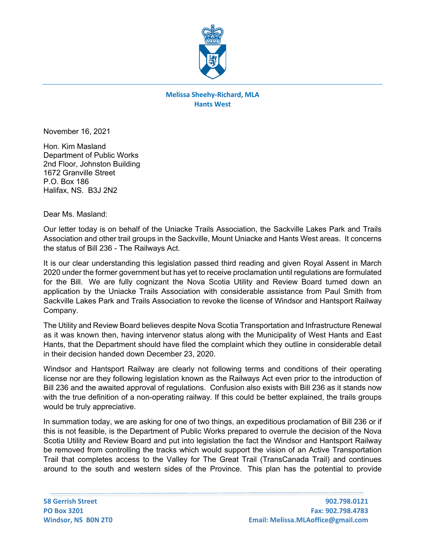

## **Melissa Sheehy-Richard, MLA Hants West**

November 16, 2021

Hon. Kim Masland Department of Public Works 2nd Floor, Johnston Building 1672 Granville Street P.O. Box 186 Halifax, NS. B3J 2N2

## Dear Ms. Masland:

Our letter today is on behalf of the Uniacke Trails Association, the Sackville Lakes Park and Trails Association and other trail groups in the Sackville, Mount Uniacke and Hants West areas. It concerns the status of Bill 236 - The Railways Act.

It is our clear understanding this legislation passed third reading and given Royal Assent in March 2020 under the former government but has yet to receive proclamation until regulations are formulated for the Bill. We are fully cognizant the Nova Scotia Utility and Review Board turned down an application by the Uniacke Trails Association with considerable assistance from Paul Smith from Sackville Lakes Park and Trails Association to revoke the license of Windsor and Hantsport Railway Company.

The Utility and Review Board believes despite Nova Scotia Transportation and Infrastructure Renewal as it was known then, having intervenor status along with the Municipality of West Hants and East Hants, that the Department should have filed the complaint which they outline in considerable detail in their decision handed down December 23, 2020.

Windsor and Hantsport Railway are clearly not following terms and conditions of their operating license nor are they following legislation known as the Railways Act even prior to the introduction of Bill 236 and the awaited approval of regulations. Confusion also exists with Bill 236 as it stands now with the true definition of a non-operating railway. If this could be better explained, the trails groups would be truly appreciative.

In summation today, we are asking for one of two things, an expeditious proclamation of Bill 236 or if this is not feasible, is the Department of Public Works prepared to overrule the decision of the Nova Scotia Utility and Review Board and put into legislation the fact the Windsor and Hantsport Railway be removed from controlling the tracks which would support the vision of an Active Transportation Trail that completes access to the Valley for The Great Trail (TransCanada Trail) and continues around to the south and western sides of the Province. This plan has the potential to provide